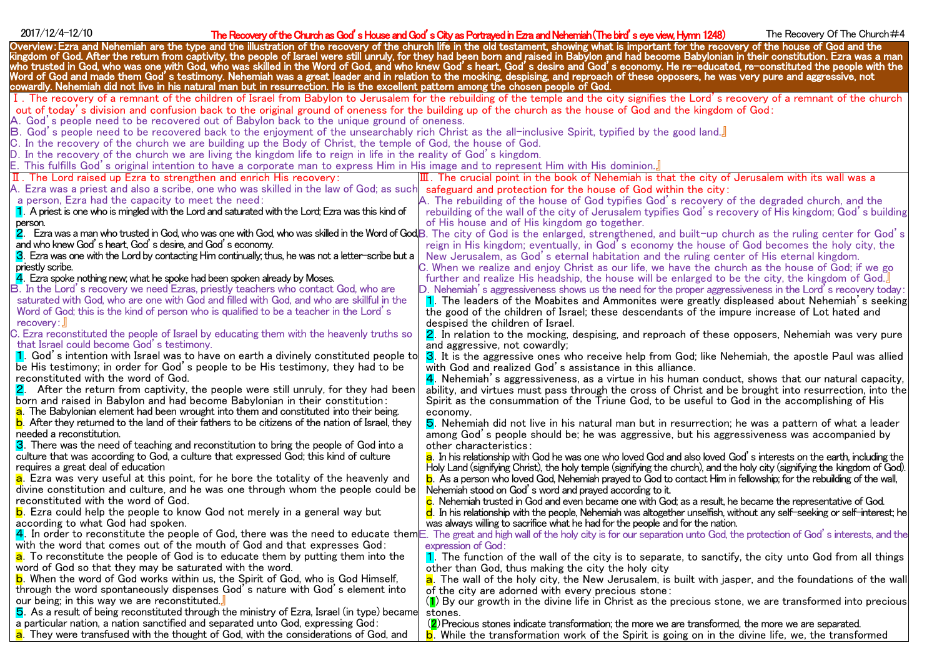| 2017/12/4-12/10                                          |                                                                                                                                       | The Recovery of the Church as God's House and God's City as Portrayed in Ezra and Nehemiah (The bird's eye view, Hymn 1248)                                                                                | The Recovery Of The Church#4 |
|----------------------------------------------------------|---------------------------------------------------------------------------------------------------------------------------------------|------------------------------------------------------------------------------------------------------------------------------------------------------------------------------------------------------------|------------------------------|
|                                                          |                                                                                                                                       | Overview: Ezra and Nehemiah are the type and the illustration of the recovery of the church life in the old testament, showing what is important for the recovery of the house of God and the              |                              |
|                                                          |                                                                                                                                       | kingdom of God. After the return from captivity, the people of Israel were still unruly, for they had been born and raised in Babylon and had become Babylonian in their constitution. Ezra was a man      |                              |
|                                                          |                                                                                                                                       | who trusted in God, who was one with God, who was skilled in the Word of God, and who knew God's heart, God's desire and God's economy. He re–educated, re–constituted the people with the                 |                              |
|                                                          | cowardly. Nehemiah did not live in his natural man but in resurrection. He is the excellent pattern among the chosen people of God.   | Word of God and made them God's testimony. Nehemiah was a great leader and in relation to the mocking, despising, and reproach of these opposers, he was very pure and aggressive, not                     |                              |
|                                                          |                                                                                                                                       | I. The recovery of a remnant of the children of Israel from Babylon to Jerusalem for the rebuilding of the temple and the city signifies the Lord's recovery of a remnant of the church                    |                              |
|                                                          |                                                                                                                                       | out of today's division and confusion back to the original ground of oneness for the building up of the church as the house of God and the kingdom of God:                                                 |                              |
|                                                          | A. God's people need to be recovered out of Babylon back to the unique ground of oneness.                                             |                                                                                                                                                                                                            |                              |
|                                                          |                                                                                                                                       | B. God's people need to be recovered back to the enjoyment of the unsearchably rich Christ as the all-inclusive Spirit, typified by the good land.                                                         |                              |
|                                                          | C. In the recovery of the church we are building up the Body of Christ, the temple of God, the house of God.                          |                                                                                                                                                                                                            |                              |
|                                                          | D. In the recovery of the church we are living the kingdom life to reign in life in the reality of God´s kingdom.                     |                                                                                                                                                                                                            |                              |
|                                                          | E. This fulfills God's original intention to have a corporate man to express Him in His image and to represent Him with His dominion. |                                                                                                                                                                                                            |                              |
|                                                          | II. The Lord raised up Ezra to strengthen and enrich His recovery:                                                                    | $\vert \overline{\mathrm{III}}\vert$ . The crucial point in the book of Nehemiah is that the city of Jerusalem with its wall was a                                                                         |                              |
|                                                          | A. Ezra was a priest and also a scribe, one who was skilled in the law of God; as such                                                | safeguard and protection for the house of God within the city:                                                                                                                                             |                              |
| a person, Ezra had the capacity to meet the need:        |                                                                                                                                       | A. The rebuilding of the house of God typifies God's recovery of the degraded church, and the                                                                                                              |                              |
|                                                          | 1. A priest is one who is mingled with the Lord and saturated with the Lord; Ezra was this kind of                                    | rebuilding of the wall of the city of Jerusalem typifies God's recovery of His kingdom; God's building                                                                                                     |                              |
| person.                                                  |                                                                                                                                       | of His house and of His kingdom go together.                                                                                                                                                               |                              |
|                                                          |                                                                                                                                       | 2. Ezra was a man who trusted in God, who was one with God, who was skilled in the Word of God B. The city of God is the enlarged, strengthened, and built-up church as the ruling center for God's        |                              |
|                                                          | and who knew God's heart, God's desire, and God's economy.                                                                            | reign in His kingdom; eventually, in God's economy the house of God becomes the holy city, the                                                                                                             |                              |
|                                                          | 3. Ezra was one with the Lord by contacting Him continually; thus, he was not a letter-scribe but a                                   | New Jerusalem, as God's eternal habitation and the ruling center of His eternal kingdom.                                                                                                                   |                              |
| priestly scribe.                                         |                                                                                                                                       | C. When we realize and enjoy Christ as our life, we have the church as the house of God; if we go                                                                                                          |                              |
|                                                          | 4. Ezra spoke nothing new, what he spoke had been spoken already by Moses.                                                            | further and realize His headship, the house will be enlarged to be the city, the kingdom of God.                                                                                                           |                              |
|                                                          | B. In the Lord's recovery we need Ezras, priestly teachers who contact God, who are                                                   | D. Nehemiah's aggressiveness shows us the need for the proper aggressiveness in the Lord's recovery today:                                                                                                 |                              |
|                                                          | saturated with God, who are one with God and filled with God, and who are skillful in the                                             | 1. The leaders of the Moabites and Ammonites were greatly displeased about Nehemiah's seeking                                                                                                              |                              |
|                                                          | Word of God; this is the kind of person who is qualified to be a teacher in the Lord's                                                | the good of the children of Israel; these descendants of the impure increase of Lot hated and                                                                                                              |                              |
| recoverv:                                                | C. Ezra reconstituted the people of Israel by educating them with the heavenly truths so                                              | despised the children of Israel.                                                                                                                                                                           |                              |
| that Israel could become God's testimony.                |                                                                                                                                       | 2. In relation to the mocking, despising, and reproach of these opposers, Nehemiah was very pure                                                                                                           |                              |
|                                                          | 1. God's intention with Israel was to have on earth a divinely constituted people to                                                  | and aggressive, not cowardly;<br>3. It is the aggressive ones who receive help from God; like Nehemiah, the apostle Paul was allied                                                                        |                              |
|                                                          | be His testimony; in order for God's people to be His testimony, they had to be                                                       | with God and realized God's assistance in this alliance.                                                                                                                                                   |                              |
| reconstituted with the word of God.                      |                                                                                                                                       | 4. Nehemiah's aggressiveness, as a virtue in his human conduct, shows that our natural capacity,                                                                                                           |                              |
|                                                          | <b>2.</b> After the return from captivity, the people were still unruly, for they had been                                            | ability, and virtues must pass through the cross of Christ and be brought into resurrection, into the                                                                                                      |                              |
|                                                          | born and raised in Babylon and had become Babylonian in their constitution:                                                           | Spirit as the consummation of the Triune God, to be useful to God in the accomplishing of His                                                                                                              |                              |
|                                                          | a. The Babylonian element had been wrought into them and constituted into their being.                                                | economy.                                                                                                                                                                                                   |                              |
|                                                          | b. After they returned to the land of their fathers to be citizens of the nation of Israel, they                                      | 5. Nehemiah did not live in his natural man but in resurrection; he was a pattern of what a leader                                                                                                         |                              |
| needed a reconstitution.                                 |                                                                                                                                       | among God´s people should be; he was aggressive, but his aggressiveness was accompanied by                                                                                                                 |                              |
|                                                          | 3. There was the need of teaching and reconstitution to bring the people of God into a                                                | other characteristics:                                                                                                                                                                                     |                              |
|                                                          | culture that was according to God, a culture that expressed God; this kind of culture                                                 | a. In his relationship with God he was one who loved God and also loved God's interests on the earth, including the                                                                                        |                              |
| requires a great deal of education                       |                                                                                                                                       | Holy Land (signifying Christ), the holy temple (signifying the church), and the holy city (signifying the kingdom of God).                                                                                 |                              |
|                                                          | a. Ezra was very useful at this point, for he bore the totality of the heavenly and                                                   | b. As a person who loved God, Nehemiah prayed to God to contact Him in fellowship; for the rebuilding of the wall,                                                                                         |                              |
|                                                          | divine constitution and culture, and he was one through whom the people could be                                                      | Nehemiah stood on God's word and prayed according to it.                                                                                                                                                   |                              |
| reconstituted with the word of God.                      |                                                                                                                                       | c. Nehemiah trusted in God and even became one with God; as a result, he became the representative of God.                                                                                                 |                              |
|                                                          | b. Ezra could help the people to know God not merely in a general way but                                                             | d. In his relationship with the people, Nehemiah was altogether unselfish, without any self-seeking or self-interest; he<br>was always willing to sacrifice what he had for the people and for the nation. |                              |
| according to what God had spoken.                        |                                                                                                                                       | 4. In order to reconstitute the people of God, there was the need to educate them E. The great and high wall of the holy city is for our separation unto God, the protection of God's interests, and the   |                              |
|                                                          | with the word that comes out of the mouth of God and that expresses God:                                                              | expression of God:                                                                                                                                                                                         |                              |
|                                                          | a. To reconstitute the people of God is to educate them by putting them into the                                                      | 1. The function of the wall of the city is to separate, to sanctify, the city unto God from all things                                                                                                     |                              |
|                                                          | word of God so that they may be saturated with the word.                                                                              | other than God, thus making the city the holy city                                                                                                                                                         |                              |
|                                                          | b. When the word of God works within us, the Spirit of God, who is God Himself,                                                       | a. The wall of the holy city, the New Jerusalem, is built with jasper, and the foundations of the wall                                                                                                     |                              |
|                                                          | through the word spontaneously dispenses God's nature with God's element into                                                         | of the city are adorned with every precious stone:                                                                                                                                                         |                              |
| our being; in this way we are reconstituted $\mathbf{J}$ |                                                                                                                                       | $(1)$ By our growth in the divine life in Christ as the precious stone, we are transformed into precious                                                                                                   |                              |
|                                                          | 5. As a result of being reconstituted through the ministry of Ezra, Israel (in type) became                                           | stones.                                                                                                                                                                                                    |                              |
|                                                          | a particular nation, a nation sanctified and separated unto God, expressing God:                                                      | (2) Precious stones indicate transformation; the more we are transformed, the more we are separated.                                                                                                       |                              |
|                                                          | a. They were transfused with the thought of God, with the considerations of God, and                                                  | b. While the transformation work of the Spirit is going on in the divine life, we, the transformed                                                                                                         |                              |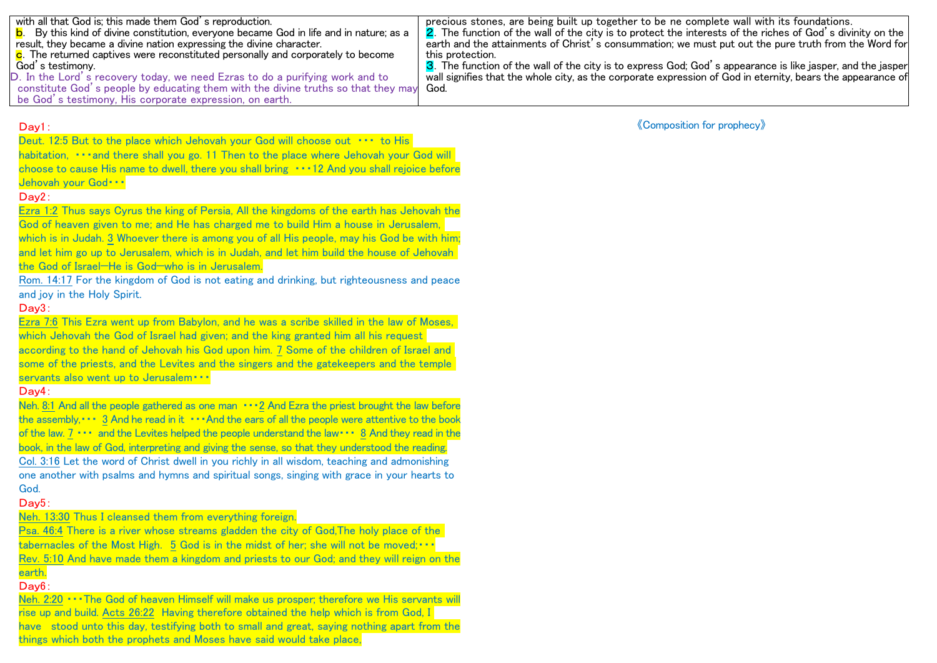| with all that God is; this made them God's reproduction.<br>By this kind of divine constitution, everyone became God in life and in nature; as a<br>result, they became a divine nation expressing the divine character.<br>$\mathsf{s}$ . The returned captives were reconstituted personally and corporately to become<br>God´s testimony.<br>D. In the Lord's recovery today, we need Ezras to do a purifying work and to<br>constitute God's people by educating them with the divine truths so that they may God.<br>be God's testimony, His corporate expression, on earth. | precious stones, are being built up together to be ne complete wall with its foundations.<br>2. The function of the wall of the city is to protect the interests of the riches of God's divinity on the<br>earth and the attainments of Christ's consummation; we must put out the pure truth from the Word for<br>this protection.<br>3. The function of the wall of the city is to express God; God's appearance is like jasper, and the jasper<br>wall signifies that the whole city, as the corporate expression of God in eternity, bears the appearance of |
|-----------------------------------------------------------------------------------------------------------------------------------------------------------------------------------------------------------------------------------------------------------------------------------------------------------------------------------------------------------------------------------------------------------------------------------------------------------------------------------------------------------------------------------------------------------------------------------|------------------------------------------------------------------------------------------------------------------------------------------------------------------------------------------------------------------------------------------------------------------------------------------------------------------------------------------------------------------------------------------------------------------------------------------------------------------------------------------------------------------------------------------------------------------|
|-----------------------------------------------------------------------------------------------------------------------------------------------------------------------------------------------------------------------------------------------------------------------------------------------------------------------------------------------------------------------------------------------------------------------------------------------------------------------------------------------------------------------------------------------------------------------------------|------------------------------------------------------------------------------------------------------------------------------------------------------------------------------------------------------------------------------------------------------------------------------------------------------------------------------------------------------------------------------------------------------------------------------------------------------------------------------------------------------------------------------------------------------------------|

《Composition for prophecy》

Deut. 12:5 But to the place which Jehovah your God will choose out  $\cdots$  to His habitation,  $\cdots$  and there shall you go. 11 Then to the place where Jehovah your God will choose to cause His name to dwell, there you shall bring  $\cdots$ 12 And you shall rejoice before Jehovah your God・・・

## Day<sub>2</sub>:

Day1:

Ezra 1:2 Thus says Cyrus the king of Persia, All the kingdoms of the earth has Jehovah the God of heaven given to me; and He has charged me to build Him a house in Jerusalem, which is in Judah. 3 Whoever there is among you of all His people, may his God be with him; and let him go up to Jerusalem, which is in Judah, and let him build the house of Jehovah the God of Israel—He is God—who is in Jerusalem.

Rom. 14:17 For the kingdom of God is not eating and drinking, but righteousness and peace and joy in the Holy Spirit.

# Dav<sub>3:</sub>

Ezra 7:6 This Ezra went up from Babylon, and he was a scribe skilled in the law of Moses, which Jehovah the God of Israel had given; and the king granted him all his request according to the hand of Jehovah his God upon him. 7 Some of the children of Israel and some of the priests, and the Levites and the singers and the gatekeepers and the temple servants also went up to Jerusalem · · ·

#### Day4:

Neh. 8:1 And all the people gathered as one man  $\cdots$  2 And Ezra the priest brought the law before the assembly,  $\cdots$  3 And he read in it  $\cdots$  And the ears of all the people were attentive to the book of the law.  $7 \cdots$  and the Levites helped the people understand the law  $\cdots$  8 And they read in the book, in the law of God, interpreting and giving the sense, so that they understood the reading. Col. 3:16 Let the word of Christ dwell in you richly in all wisdom, teaching and admonishing one another with psalms and hymns and spiritual songs, singing with grace in your hearts to God.

# Dav<sub>5:</sub>

Neh. 13:30 Thus I cleansed them from everything foreign.

Psa. 46:4 There is a river whose streams gladden the city of God,The holy place of the tabernacles of the Most High. 5 God is in the midst of her; she will not be moved:  $\cdots$ Rev. 5:10 And have made them a kingdom and priests to our God; and they will reign on the earth.

# Day6:

Neh. 2:20  $\cdots$  The God of heaven Himself will make us prosper; therefore we His servants will rise up and build. Acts 26:22 Having therefore obtained the help which is from God, I have stood unto this day, testifying both to small and great, saying nothing apart from the things which both the prophets and Moses have said would take place,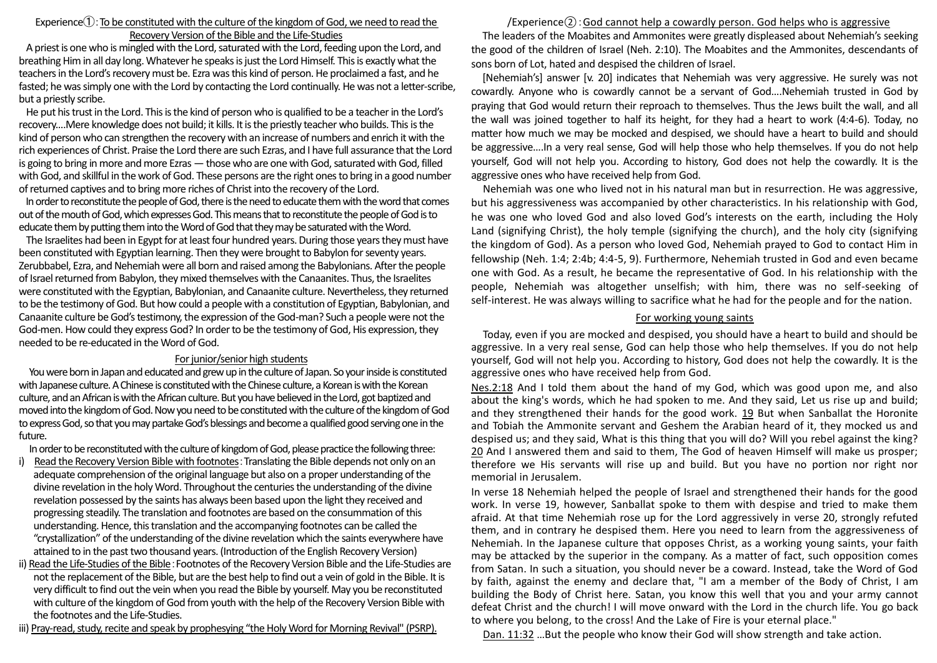#### Experience $\Omega$ : To be constituted with the culture of the kingdom of God, we need to read the Recovery Version of the Bible and the Life-Studies

A priest is one who is mingled with the Lord, saturated with the Lord, feeding upon the Lord, and breathing Him in all day long. Whatever he speaks is just the Lord Himself. This is exactly what the teachers in the Lord's recovery must be. Ezra was this kind of person. He proclaimed a fast, and he fasted; he was simply one with the Lord by contacting the Lord continually. He was not a letter-scribe, but a priestly scribe.

He put his trust in the Lord. This is the kind of person who is qualified to be a teacher in the Lord's recovery....Mere knowledge does not build; it kills. It is the priestly teacher who builds. This is the kind of person who can strengthen the recovery with an increase of numbers and enrich it with the rich experiences of Christ. Praise the Lord there are such Ezras, and I have full assurance that the Lord is going to bring in more and more Ezras — those who are one with God, saturated with God, filled with God, and skillful in the work of God. These persons are the right ones to bring in a good number of returned captives and to bring more riches of Christ into the recovery of the Lord.

In order to reconstitute the people of God, there is the need to educate them with the word that comes out of the mouth of God, which expresses God. This means that to reconstitute the people of God is to educate them by putting them into the Word of God that they may be saturated with the Word.

The Israelites had been in Egypt for at least four hundred years. During those years they must have been constituted with Egyptian learning. Then they were brought to Babylon for seventy years. Zerubbabel, Ezra, and Nehemiah were all born and raised among the Babylonians. After the people of Israel returned from Babylon, they mixed themselves with the Canaanites. Thus, the Israelites were constituted with the Egyptian, Babylonian, and Canaanite culture. Nevertheless, they returned to be the testimony of God. But how could a people with a constitution of Egyptian, Babylonian, and Canaanite culture be God's testimony, the expression of the God-man? Such a people were not the God-men. How could they express God? In order to be the testimony of God, His expression, they needed to be re-educated in the Word of God.

#### For junior/senior high students

You were born in Japan and educated and grew up in the culture of Japan. So your inside is constituted with Japanese culture. A Chinese is constituted with the Chinese culture, a Korean is with the Korean culture, and an African is with the African culture. But you have believed in the Lord, got baptized and movedinto the kingdom of God. Now you need to be constituted with the culture of the kingdom of God to express God, so that you may partake God's blessings and become a qualified good serving one in the future.

In order to be reconstituted with the culture of kingdom of God, please practice the following three:

- i) Read the Recovery Version Bible with footnotes:Translating the Bible depends not only on an adequate comprehension of the original language but also on a proper understanding of the divine revelation in the holy Word. Throughout the centuries the understanding of the divine revelation possessed by the saints has always been based upon the light they received and progressing steadily. The translation and footnotes are based on the consummation of this understanding. Hence, this translation and the accompanying footnotes can be called the "crystallization" of the understanding of the divine revelation which the saints everywhere have attained to in the past two thousand years. (Introduction of the English Recovery Version)
- ii) Read the Life-Studies of the Bible: Footnotes of the Recovery Version Bible and the Life-Studies are not the replacement of the Bible, but are the best help to find out a vein of gold in the Bible. It is very difficult to find out the vein when you read the Bible by yourself. May you be reconstituted with culture of the kingdom of God from youth with the help of the Recovery Version Bible with the footnotes and the Life-Studies.

iii) Pray-read, study, recite and speak by prophesying "the Holy Word for Morning Revival" (PSRP).

# /Experience $(2)$ : God cannot help a cowardly person. God helps who is aggressive

The leaders of the Moabites and Ammonites were greatly displeased about Nehemiah's seeking the good of the children of Israel (Neh. 2:10). The Moabites and the Ammonites, descendants of sons born of Lot, hated and despised the children of Israel.

[Nehemiah's] answer [v. 20] indicates that Nehemiah was very aggressive. He surely was not cowardly. Anyone who is cowardly cannot be a servant of God….Nehemiah trusted in God by praying that God would return their reproach to themselves. Thus the Jews built the wall, and all the wall was joined together to half its height, for they had a heart to work (4:4-6). Today, no matter how much we may be mocked and despised, we should have a heart to build and should be aggressive….In a very real sense, God will help those who help themselves. If you do not help yourself, God will not help you. According to history, God does not help the cowardly. It is the aggressive ones who have received help from God.

Nehemiah was one who lived not in his natural man but in resurrection. He was aggressive, but his aggressiveness was accompanied by other characteristics. In his relationship with God, he was one who loved God and also loved God's interests on the earth, including the Holy Land (signifying Christ), the holy temple (signifying the church), and the holy city (signifying the kingdom of God). As a person who loved God, Nehemiah prayed to God to contact Him in fellowship (Neh. 1:4; 2:4b; 4:4-5, 9). Furthermore, Nehemiah trusted in God and even became one with God. As a result, he became the representative of God. In his relationship with the people, Nehemiah was altogether unselfish; with him, there was no self-seeking of self-interest. He was always willing to sacrifice what he had for the people and for the nation.

# For working young saints

Today, even if you are mocked and despised, you should have a heart to build and should be aggressive. In a very real sense, God can help those who help themselves. If you do not help yourself, God will not help you. According to history, God does not help the cowardly. It is the aggressive ones who have received help from God.

Nes.2:18 And I told them about the hand of my God, which was good upon me, and also about the king's words, which he had spoken to me. And they said, Let us rise up and build; and they strengthened their hands for the good work. 19 But when Sanballat the Horonite and Tobiah the Ammonite servant and Geshem the Arabian heard of it, they mocked us and despised us; and they said, What is this thing that you will do? Will you rebel against the king? 20 And I answered them and said to them, The God of heaven Himself will make us prosper; therefore we His servants will rise up and build. But you have no portion nor right nor memorial in Jerusalem.

In verse 18 Nehemiah helped the people of Israel and strengthened their hands for the good work. In verse 19, however, Sanballat spoke to them with despise and tried to make them afraid. At that time Nehemiah rose up for the Lord aggressively in verse 20, strongly refuted them, and in contrary he despised them. Here you need to learn from the aggressiveness of Nehemiah. In the Japanese culture that opposes Christ, as a working young saints, your faith may be attacked by the superior in the company. As a matter of fact, such opposition comes from Satan. In such a situation, you should never be a coward. Instead, take the Word of God by faith, against the enemy and declare that, "I am a member of the Body of Christ, I am building the Body of Christ here. Satan, you know this well that you and your army cannot defeat Christ and the church! I will move onward with the Lord in the church life. You go back to where you belong, to the cross! And the Lake of Fire is your eternal place."

Dan. 11:32 …But the people who know their God will show strength and take action.